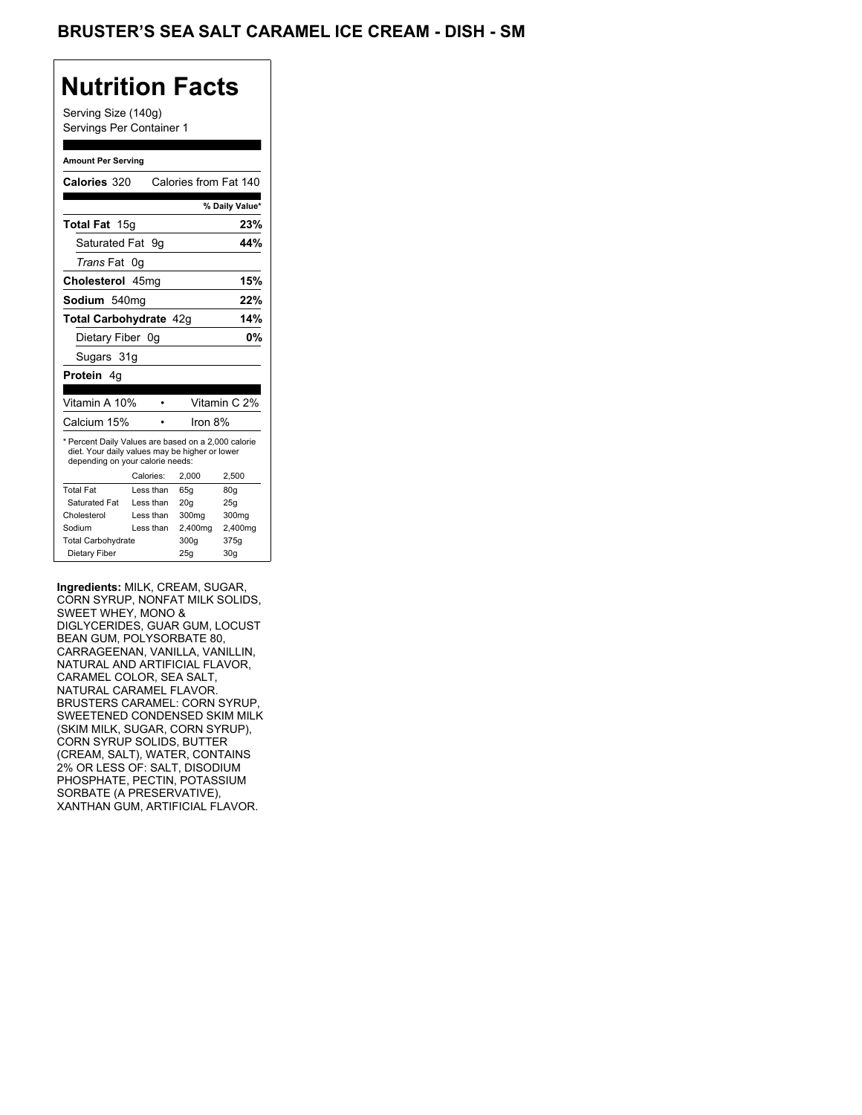## **Nutrition Facts**

Serving Size (140g) Servings Per Container 1

#### **Amount Per Serving**

|                                  |                                                                                                       | % Daily Value*                                  |
|----------------------------------|-------------------------------------------------------------------------------------------------------|-------------------------------------------------|
|                                  |                                                                                                       | 23%                                             |
| Saturated Fat 9q                 |                                                                                                       | 44%                                             |
| Trans Fat 0q                     |                                                                                                       |                                                 |
| Cholesterol 45mg                 |                                                                                                       | 15%                                             |
| Sodium 540mg                     |                                                                                                       | 22%                                             |
|                                  |                                                                                                       | 14%                                             |
| Dietary Fiber 0q                 |                                                                                                       | 0%                                              |
|                                  |                                                                                                       |                                                 |
|                                  |                                                                                                       |                                                 |
|                                  |                                                                                                       | Vitamin C 2%                                    |
|                                  | Iron 8%                                                                                               |                                                 |
|                                  |                                                                                                       |                                                 |
| depending on your calorie needs: | * Percent Daily Values are based on a 2,000 calorie<br>diet. Your daily values may be higher or lower |                                                 |
| Calories:                        | 2.000                                                                                                 | 2,500                                           |
| Less than                        | 65q                                                                                                   | 80g                                             |
| Less than                        | 20q                                                                                                   | 25g                                             |
| Less than                        | 300 <sub>mq</sub>                                                                                     | 300mg                                           |
| Less than                        | 2,400mg                                                                                               | 2,400mg                                         |
|                                  | 300q                                                                                                  | 375g                                            |
|                                  |                                                                                                       | Calories from Fat 140<br>Total Carbohydrate 42q |

**Ingredients:** MILK, CREAM, SUGAR, CORN SYRUP, NONFAT MILK SOLIDS, SWEET WHEY, MONO & DIGLYCERIDES, GUAR GUM, LOCUST BEAN GUM, POLYSORBATE 80, CARRAGEENAN, VANILLA, VANILLIN, NATURAL AND ARTIFICIAL FLAVOR, CARAMEL COLOR, SEA SALT, NATURAL CARAMEL FLAVOR. BRUSTERS CARAMEL: CORN SYRUP, SWEETENED CONDENSED SKIM MILK (SKIM MILK, SUGAR, CORN SYRUP), CORN SYRUP SOLIDS, BUTTER (CREAM, SALT), WATER, CONTAINS 2% OR LESS OF: SALT, DISODIUM PHOSPHATE, PECTIN, POTASSIUM SORBATE (A PRESERVATIVE), XANTHAN GUM, ARTIFICIAL FLAVOR.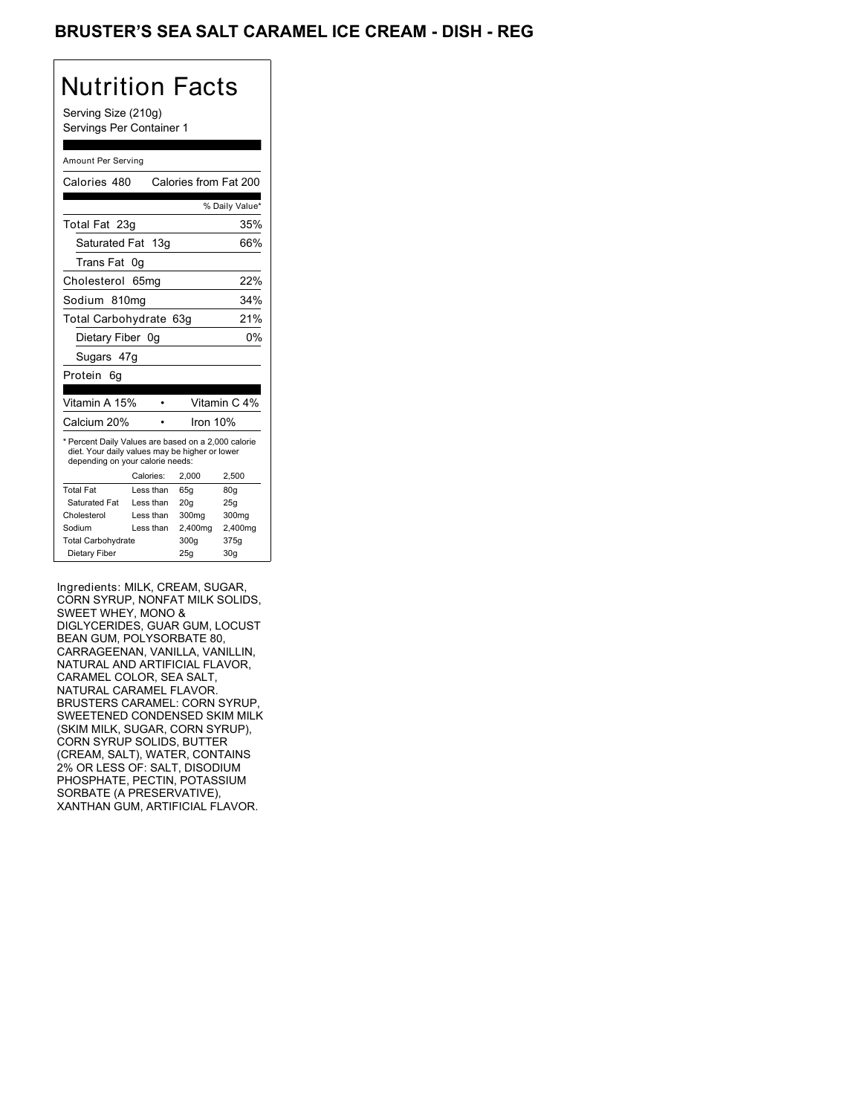## BRUSTER'S SEA SALT CARAMEL ICE CREAM - DISH - REG

# Nutrition Facts

Serving Size (210g) Servings Per Container 1

#### Amount Per Serving

| Calories 480                                                                                                                              |           | Calories from Fat 200 |                 |  |
|-------------------------------------------------------------------------------------------------------------------------------------------|-----------|-----------------------|-----------------|--|
|                                                                                                                                           |           |                       | % Daily Value*  |  |
| Total Fat 23g                                                                                                                             |           |                       | 35%             |  |
| Saturated Fat 13g                                                                                                                         |           |                       | 66%             |  |
| Trans Fat                                                                                                                                 | 0g        |                       |                 |  |
| Cholesterol                                                                                                                               | 65mg      |                       | 22%             |  |
| Sodium 810mg                                                                                                                              |           |                       | 34%             |  |
| Total Carbohydrate 63g<br>21%                                                                                                             |           |                       |                 |  |
| Dietary Fiber 0g                                                                                                                          |           |                       | 0%              |  |
| Sugars 47g                                                                                                                                |           |                       |                 |  |
| Protein<br>6q                                                                                                                             |           |                       |                 |  |
| Vitamin A 15%                                                                                                                             |           |                       | Vitamin C 4%    |  |
| Calcium 20%                                                                                                                               |           | Iron 10%              |                 |  |
| * Percent Daily Values are based on a 2,000 calorie<br>diet. Your daily values may be higher or lower<br>depending on your calorie needs: |           |                       |                 |  |
|                                                                                                                                           | Calories: | 2,000                 | 2,500           |  |
| <b>Total Fat</b>                                                                                                                          | Less than | 65q                   | 80 <sub>g</sub> |  |
| Saturated Fat                                                                                                                             | Less than | 20q                   | 25q             |  |
|                                                                                                                                           | Less than | 300mg                 | 300mg           |  |
| Cholesterol                                                                                                                               |           |                       |                 |  |
| Sodium                                                                                                                                    | Less than | 2,400mg               | 2,400mg         |  |
| <b>Total Carbohydrate</b>                                                                                                                 |           | 300q                  | 375g            |  |

Ingredients: MILK, CREAM, SUGAR, CORN SYRUP, NONFAT MILK SOLIDS, SWEET WHEY, MONO & DIGLYCERIDES, GUAR GUM, LOCUST BEAN GUM, POLYSORBATE 80, CARRAGEENAN, VANILLA, VANILLIN, NATURAL AND ARTIFICIAL FLAVOR, CARAMEL COLOR, SEA SALT, NATURAL CARAMEL FLAVOR. BRUSTERS CARAMEL: CORN SYRUP, SWEETENED CONDENSED SKIM MILK (SKIM MILK, SUGAR, CORN SYRUP), CORN SYRUP SOLIDS, BUTTER (CREAM, SALT), WATER, CONTAINS 2% OR LESS OF: SALT, DISODIUM PHOSPHATE, PECTIN, POTASSIUM SORBATE (A PRESERVATIVE), XANTHAN GUM, ARTIFICIAL FLAVOR.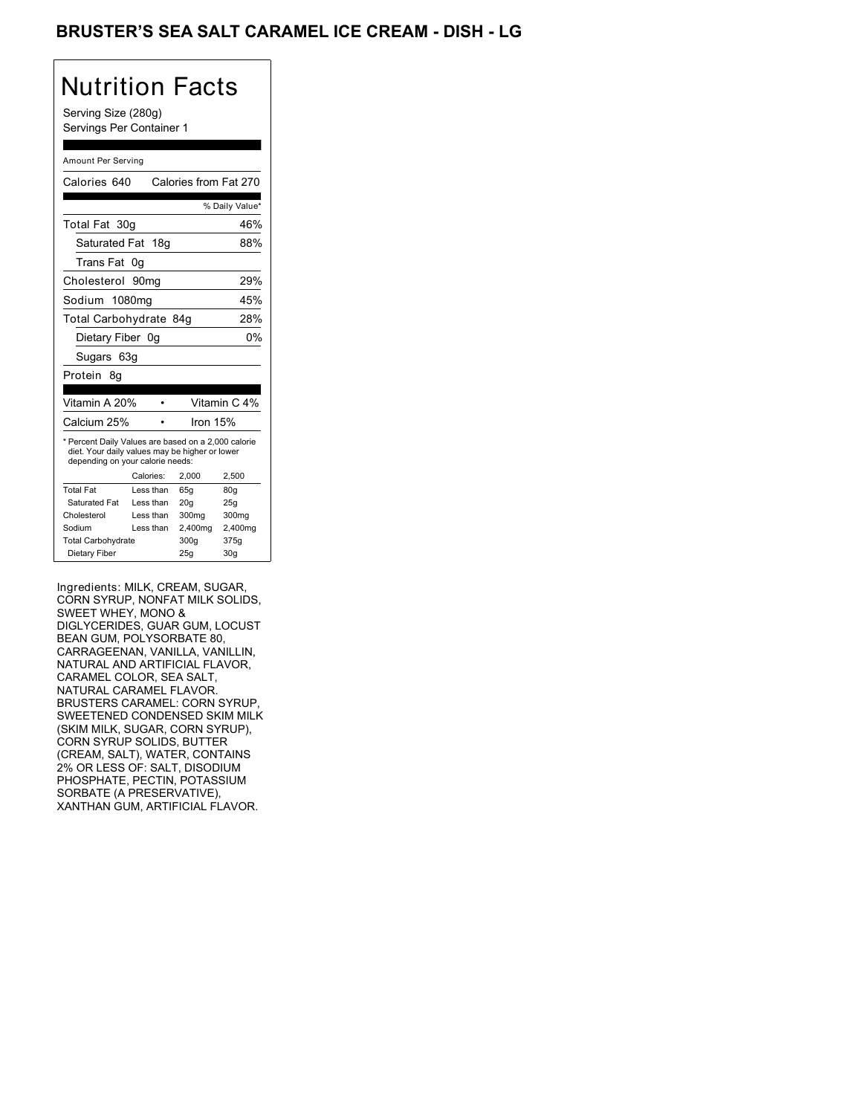## BRUSTER'S SEA SALT CARAMEL ICE CREAM - DISH - LG

# Nutrition Facts

Serving Size (280g) Servings Per Container 1

#### Amount Per Serving

| Calories 640                                                                                                                              |                  | Calories from Fat 270 |                 |
|-------------------------------------------------------------------------------------------------------------------------------------------|------------------|-----------------------|-----------------|
|                                                                                                                                           |                  |                       | % Daily Value*  |
| Total Fat 30g                                                                                                                             |                  |                       | 46%             |
| Saturated Fat 18g                                                                                                                         |                  |                       | 88%             |
| Trans Fat 0q                                                                                                                              |                  |                       |                 |
| Cholesterol                                                                                                                               | 90 <sub>mq</sub> |                       | 29%             |
| Sodium 1080mg                                                                                                                             |                  |                       | 45%             |
| Total Carbohydrate 84g                                                                                                                    |                  |                       | 28%             |
| Dietary Fiber 0q                                                                                                                          |                  |                       | 0%              |
| Sugars 63g                                                                                                                                |                  |                       |                 |
| Protein<br>8g                                                                                                                             |                  |                       |                 |
| Vitamin A 20%                                                                                                                             |                  |                       | Vitamin C 4%    |
| Calcium 25%                                                                                                                               |                  | Iron 15%              |                 |
| * Percent Daily Values are based on a 2,000 calorie<br>diet. Your daily values may be higher or lower<br>depending on your calorie needs: |                  |                       |                 |
|                                                                                                                                           | Calories:        | 2,000                 | 2,500           |
| <b>Total Fat</b>                                                                                                                          | Less than        | 65q                   | 80 <sub>g</sub> |
| Saturated Fat                                                                                                                             | Less than        | 20q                   | 25q             |
| Cholesterol                                                                                                                               | Less than        | 300mg                 | 300mg           |
| Sodium                                                                                                                                    | Less than        | 2,400mg               | 2,400mg         |
|                                                                                                                                           |                  |                       |                 |
| <b>Total Carbohydrate</b>                                                                                                                 |                  | 300g                  | 375g            |

Ingredients: MILK, CREAM, SUGAR, CORN SYRUP, NONFAT MILK SOLIDS, SWEET WHEY, MONO & DIGLYCERIDES, GUAR GUM, LOCUST BEAN GUM, POLYSORBATE 80, CARRAGEENAN, VANILLA, VANILLIN, NATURAL AND ARTIFICIAL FLAVOR, CARAMEL COLOR, SEA SALT, NATURAL CARAMEL FLAVOR. BRUSTERS CARAMEL: CORN SYRUP, SWEETENED CONDENSED SKIM MILK (SKIM MILK, SUGAR, CORN SYRUP), CORN SYRUP SOLIDS, BUTTER (CREAM, SALT), WATER, CONTAINS 2% OR LESS OF: SALT, DISODIUM PHOSPHATE, PECTIN, POTASSIUM SORBATE (A PRESERVATIVE), XANTHAN GUM, ARTIFICIAL FLAVOR.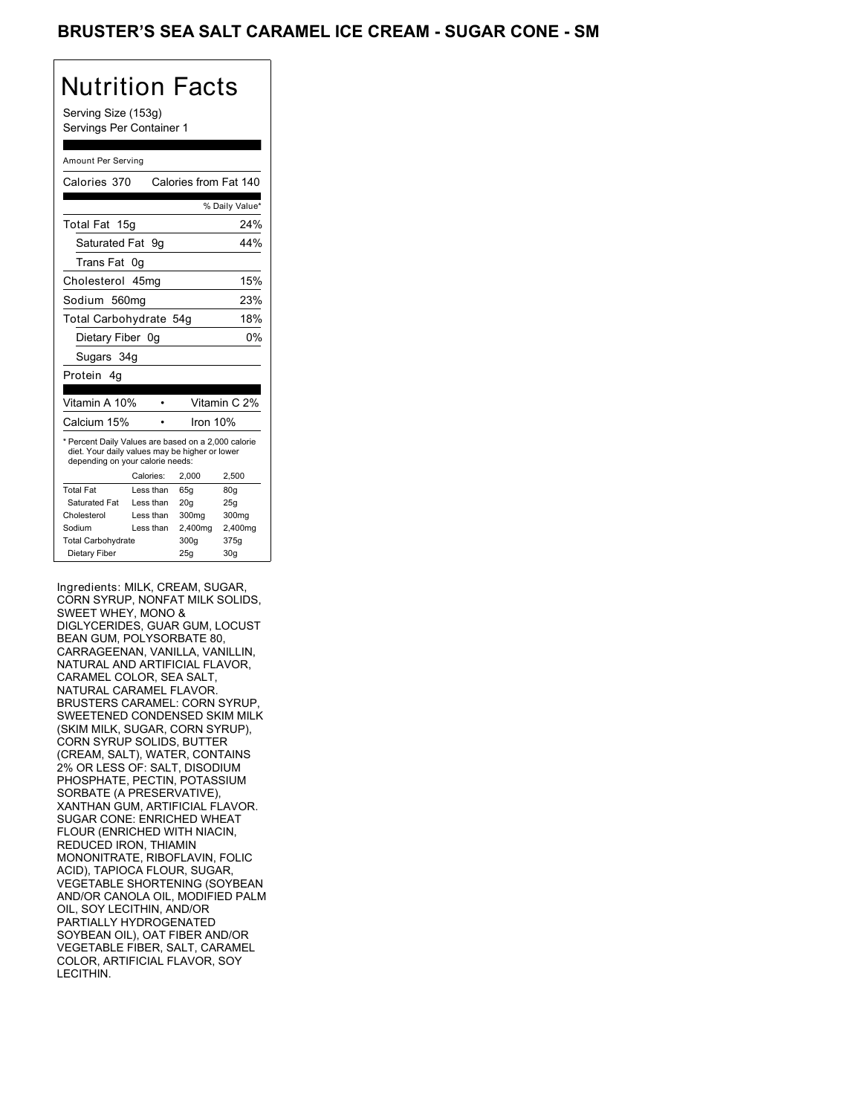## BRUSTER'S SEA SALT CARAMEL ICE CREAM - SUGAR CONE - SM

## Nutrition Facts

Serving Size (153g) Servings Per Container 1

#### Amount Per Serving

| Calories 370                                                                                                                              |           |           | Calories from Fat 140 |                 |
|-------------------------------------------------------------------------------------------------------------------------------------------|-----------|-----------|-----------------------|-----------------|
|                                                                                                                                           |           |           |                       | % Daily Value*  |
| Total Fat 15g                                                                                                                             |           |           |                       | 24%             |
| Saturated Fat 9g                                                                                                                          |           |           |                       | 44%             |
| Trans Fat                                                                                                                                 | 0g        |           |                       |                 |
| Cholesterol 45mg                                                                                                                          |           |           |                       | 15%             |
| Sodium 560mg                                                                                                                              |           |           |                       | 23%             |
| Total Carbohydrate 54g                                                                                                                    |           |           |                       | 18%             |
| Dietary Fiber 0g                                                                                                                          |           |           |                       | 0%              |
| Sugars 34g                                                                                                                                |           |           |                       |                 |
| Protein<br>4g                                                                                                                             |           |           |                       |                 |
|                                                                                                                                           |           |           |                       |                 |
| Vitamin A 10%                                                                                                                             |           |           |                       | Vitamin C 2%    |
| Calcium 15%                                                                                                                               |           |           | Iron 10%              |                 |
| * Percent Daily Values are based on a 2,000 calorie<br>diet. Your daily values may be higher or lower<br>depending on your calorie needs: |           |           |                       |                 |
|                                                                                                                                           | Calories: |           | 2.000                 | 2,500           |
| <b>Total Fat</b>                                                                                                                          |           | Less than | 65q                   | 80q             |
| Saturated Fat                                                                                                                             |           | Less than | 20q                   | 25q             |
| Cholesterol                                                                                                                               |           | Less than | 300mg                 | 300mg           |
| Sodium                                                                                                                                    |           | Less than | 2,400mg               | 2,400mg         |
| <b>Total Carbohydrate</b>                                                                                                                 |           |           | 300q                  | 375g            |
| Dietary Fiber                                                                                                                             |           |           | 25q                   | 30 <sub>q</sub> |

Ingredients: MILK, CREAM, SUGAR, CORN SYRUP, NONFAT MILK SOLIDS, SWEET WHEY, MONO & DIGLYCERIDES, GUAR GUM, LOCUST BEAN GUM, POLYSORBATE 80, CARRAGEENAN, VANILLA, VANILLIN, NATURAL AND ARTIFICIAL FLAVOR, CARAMEL COLOR, SEA SALT, NATURAL CARAMEL FLAVOR. BRUSTERS CARAMEL: CORN SYRUP, SWEETENED CONDENSED SKIM MILK (SKIM MILK, SUGAR, CORN SYRUP), CORN SYRUP SOLIDS, BUTTER (CREAM, SALT), WATER, CONTAINS 2% OR LESS OF: SALT, DISODIUM PHOSPHATE, PECTIN, POTASSIUM SORBATE (A PRESERVATIVE), XANTHAN GUM, ARTIFICIAL FLAVOR. SUGAR CONE: ENRICHED WHEAT FLOUR (ENRICHED WITH NIACIN, REDUCED IRON, THIAMIN MONONITRATE, RIBOFLAVIN, FOLIC ACID), TAPIOCA FLOUR, SUGAR, VEGETABLE SHORTENING (SOYBEAN AND/OR CANOLA OIL, MODIFIED PALM OIL, SOY LECITHIN, AND/OR PARTIALLY HYDROGENATED SOYBEAN OIL), OAT FIBER AND/OR VEGETABLE FIBER, SALT, CARAMEL COLOR, ARTIFICIAL FLAVOR, SOY LECITHIN.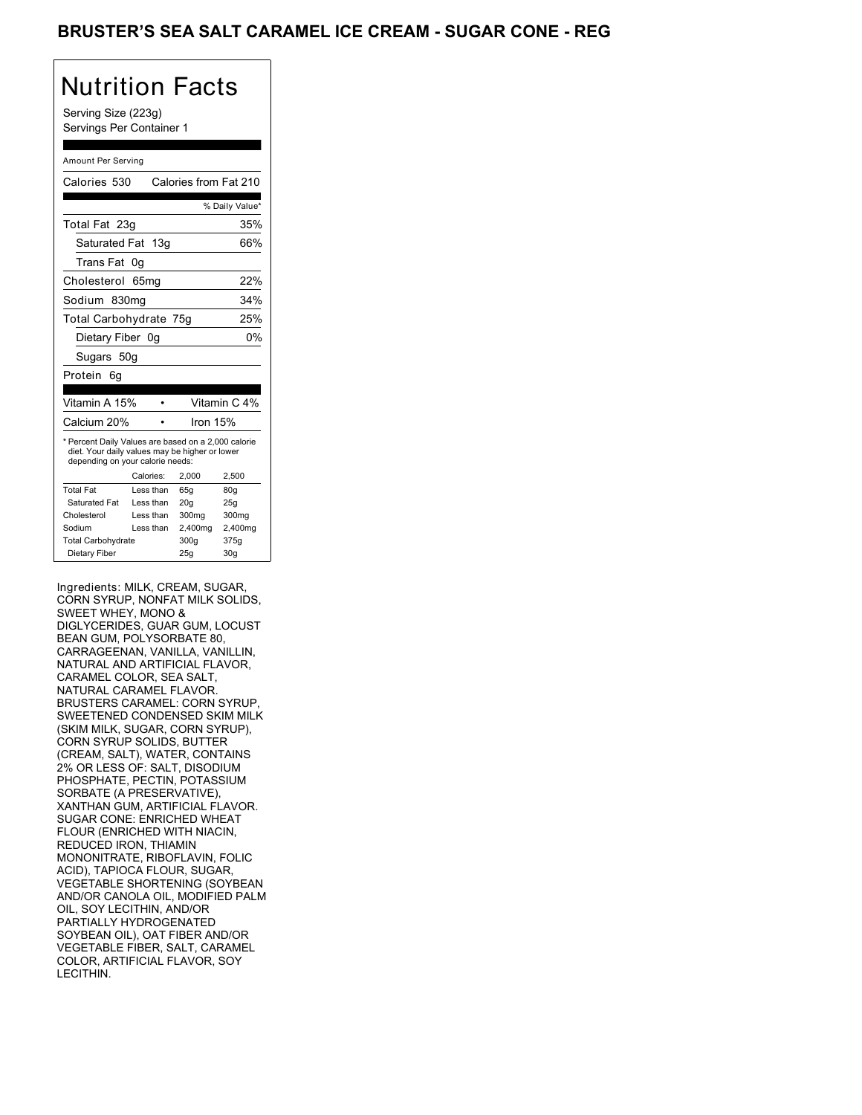## BRUSTER'S SEA SALT CARAMEL ICE CREAM - SUGAR CONE - REG

## Nutrition Facts

Serving Size (223g) Servings Per Container 1

#### Amount Per Serving

| Calories 530                                                                                                                              |           | Calories from Fat 210 |                 |
|-------------------------------------------------------------------------------------------------------------------------------------------|-----------|-----------------------|-----------------|
|                                                                                                                                           |           |                       | % Daily Value*  |
| Total Fat 23g                                                                                                                             |           |                       | 35%             |
| Saturated Fat 13g                                                                                                                         |           |                       | 66%             |
| Trans Fat                                                                                                                                 | 0g        |                       |                 |
| Cholesterol 65mg                                                                                                                          |           |                       | 22%             |
| Sodium 830mg                                                                                                                              |           |                       | 34%             |
| Total Carbohydrate 75g                                                                                                                    |           |                       | 25%             |
| Dietary Fiber 0q                                                                                                                          |           |                       | 0%              |
| Sugars 50g                                                                                                                                |           |                       |                 |
| Protein<br>6q                                                                                                                             |           |                       |                 |
|                                                                                                                                           |           |                       |                 |
| Vitamin A 15%                                                                                                                             |           |                       | Vitamin C 4%    |
| Calcium 20%                                                                                                                               |           | Iron $15%$            |                 |
| * Percent Daily Values are based on a 2,000 calorie<br>diet. Your daily values may be higher or lower<br>depending on your calorie needs: |           |                       |                 |
|                                                                                                                                           | Calories: | 2.000                 | 2.500           |
| <b>Total Fat</b>                                                                                                                          | Less than | 65q                   | 80q             |
| Saturated Fat                                                                                                                             | Less than | 20q                   | 25q             |
| Cholesterol                                                                                                                               | Less than | 300mg                 | 300mg           |
| Sodium                                                                                                                                    | Less than | 2,400mg               | 2,400mg         |
| <b>Total Carbohydrate</b>                                                                                                                 |           | 300g                  | 375g            |
| Dietary Fiber                                                                                                                             |           | 25q                   | 30 <sub>g</sub> |

Ingredients: MILK, CREAM, SUGAR, CORN SYRUP, NONFAT MILK SOLIDS, SWEET WHEY, MONO & DIGLYCERIDES, GUAR GUM, LOCUST BEAN GUM, POLYSORBATE 80, CARRAGEENAN, VANILLA, VANILLIN, NATURAL AND ARTIFICIAL FLAVOR, CARAMEL COLOR, SEA SALT, NATURAL CARAMEL FLAVOR. BRUSTERS CARAMEL: CORN SYRUP, SWEETENED CONDENSED SKIM MILK (SKIM MILK, SUGAR, CORN SYRUP), CORN SYRUP SOLIDS, BUTTER (CREAM, SALT), WATER, CONTAINS 2% OR LESS OF: SALT, DISODIUM PHOSPHATE, PECTIN, POTASSIUM SORBATE (A PRESERVATIVE), XANTHAN GUM, ARTIFICIAL FLAVOR. SUGAR CONE: ENRICHED WHEAT FLOUR (ENRICHED WITH NIACIN, REDUCED IRON, THIAMIN MONONITRATE, RIBOFLAVIN, FOLIC ACID), TAPIOCA FLOUR, SUGAR, VEGETABLE SHORTENING (SOYBEAN AND/OR CANOLA OIL, MODIFIED PALM OIL, SOY LECITHIN, AND/OR PARTIALLY HYDROGENATED SOYBEAN OIL), OAT FIBER AND/OR VEGETABLE FIBER, SALT, CARAMEL COLOR, ARTIFICIAL FLAVOR, SOY LECITHIN.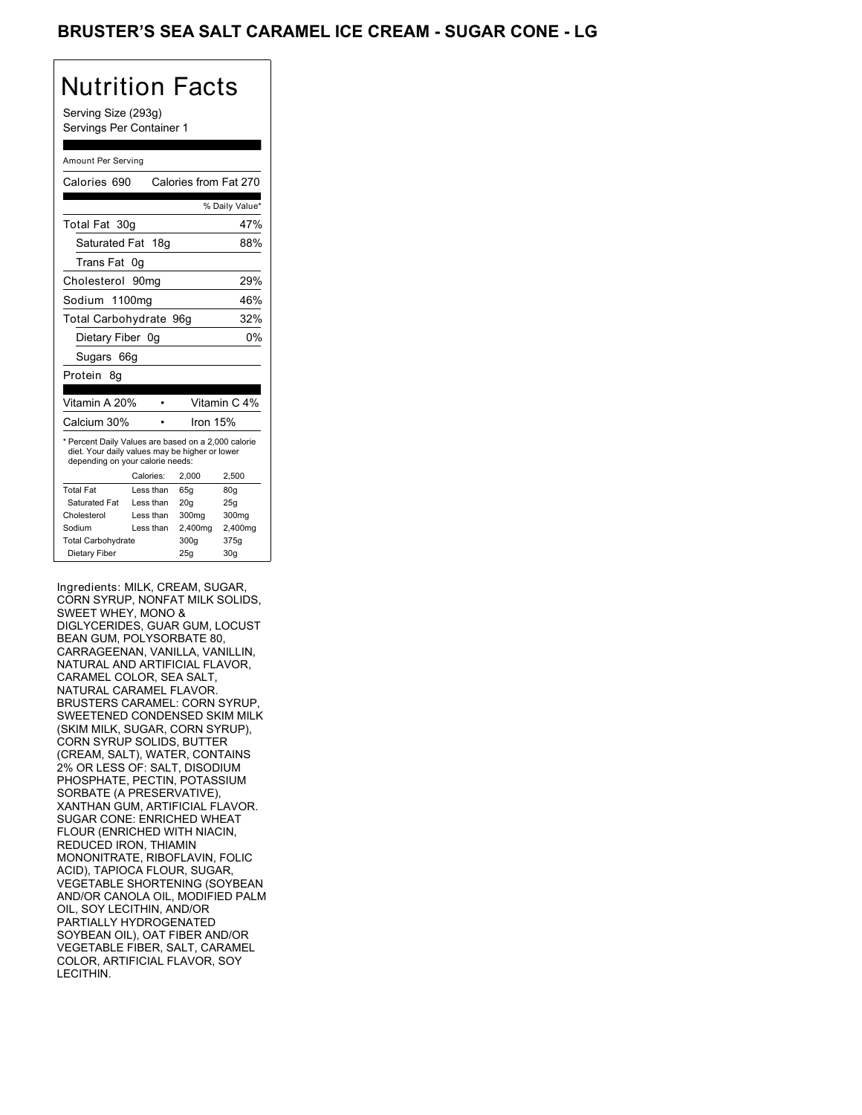## BRUSTER'S SEA SALT CARAMEL ICE CREAM - SUGAR CONE - LG

# Nutrition Facts

Serving Size (293g) Servings Per Container 1

#### Amount Per Serving

| Calories 690                                                                                                                              |                  | Calories from Fat 270 |                 |
|-------------------------------------------------------------------------------------------------------------------------------------------|------------------|-----------------------|-----------------|
|                                                                                                                                           |                  |                       | % Daily Value*  |
| Total Fat 30g                                                                                                                             |                  |                       | 47%             |
| Saturated Fat 18g                                                                                                                         |                  |                       | 88%             |
| Trans Fat                                                                                                                                 | 0g               |                       |                 |
| Cholesterol                                                                                                                               | 90 <sub>mq</sub> |                       | 29%             |
| Sodium 1100mg                                                                                                                             |                  |                       | 46%             |
| Total Carbohydrate 96g                                                                                                                    |                  |                       | 32%             |
| Dietary Fiber 0g                                                                                                                          |                  |                       | 0%              |
| Sugars 66g                                                                                                                                |                  |                       |                 |
| Protein<br>8q                                                                                                                             |                  |                       |                 |
|                                                                                                                                           |                  |                       |                 |
| Vitamin A 20%                                                                                                                             |                  |                       | Vitamin C 4%    |
| Calcium 30%                                                                                                                               |                  | Iron $15%$            |                 |
| * Percent Daily Values are based on a 2,000 calorie<br>diet. Your daily values may be higher or lower<br>depending on your calorie needs: |                  |                       |                 |
|                                                                                                                                           | Calories:        | 2.000                 | 2.500           |
| <b>Total Fat</b>                                                                                                                          | Less than        | 65q                   | 80q             |
| Saturated Fat                                                                                                                             | Less than        | 20q                   | 25q             |
| Cholesterol                                                                                                                               | Less than        | 300mg                 | 300mg           |
| Sodium                                                                                                                                    | Less than        | 2,400mg               | 2,400mg         |
| <b>Total Carbohydrate</b>                                                                                                                 |                  | 300q                  | 375g            |
| Dietary Fiber                                                                                                                             |                  | 25q                   | 30 <sub>g</sub> |

Ingredients: MILK, CREAM, SUGAR, CORN SYRUP, NONFAT MILK SOLIDS, SWEET WHEY, MONO & DIGLYCERIDES, GUAR GUM, LOCUST BEAN GUM, POLYSORBATE 80, CARRAGEENAN, VANILLA, VANILLIN, NATURAL AND ARTIFICIAL FLAVOR, CARAMEL COLOR, SEA SALT, NATURAL CARAMEL FLAVOR. BRUSTERS CARAMEL: CORN SYRUP, SWEETENED CONDENSED SKIM MILK (SKIM MILK, SUGAR, CORN SYRUP), CORN SYRUP SOLIDS, BUTTER (CREAM, SALT), WATER, CONTAINS 2% OR LESS OF: SALT, DISODIUM PHOSPHATE, PECTIN, POTASSIUM SORBATE (A PRESERVATIVE), XANTHAN GUM, ARTIFICIAL FLAVOR. SUGAR CONE: ENRICHED WHEAT FLOUR (ENRICHED WITH NIACIN, REDUCED IRON, THIAMIN MONONITRATE, RIBOFLAVIN, FOLIC ACID), TAPIOCA FLOUR, SUGAR, VEGETABLE SHORTENING (SOYBEAN AND/OR CANOLA OIL, MODIFIED PALM OIL, SOY LECITHIN, AND/OR PARTIALLY HYDROGENATED SOYBEAN OIL), OAT FIBER AND/OR VEGETABLE FIBER, SALT, CARAMEL COLOR, ARTIFICIAL FLAVOR, SOY LECITHIN.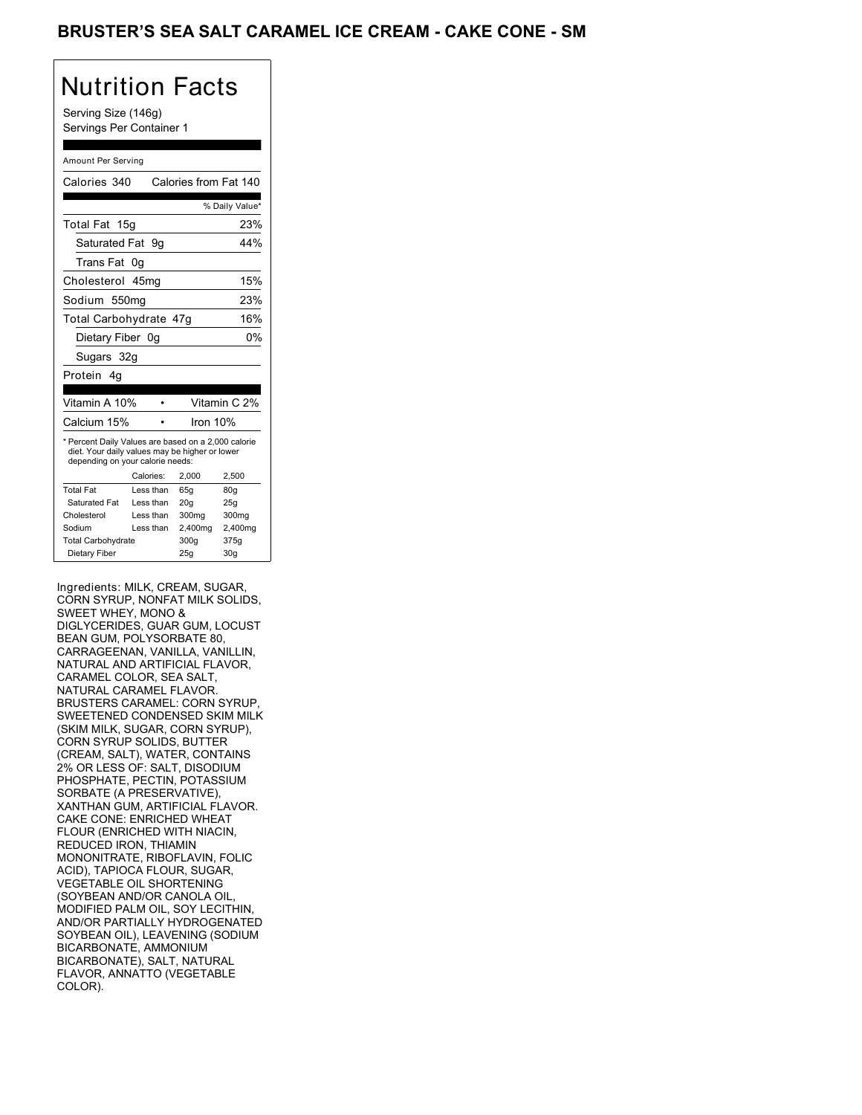## BRUSTER'S SEA SALT CARAMEL ICE CREAM - CAKE CONE - SM

## Nutrition Facts

Serving Size (146g) Servings Per Container 1

#### Amount Per Serving

| Calories 340                                                                                                                              |           |          | Calories from Fat 140 |
|-------------------------------------------------------------------------------------------------------------------------------------------|-----------|----------|-----------------------|
|                                                                                                                                           |           |          | % Daily Value*        |
| Total Fat 15g                                                                                                                             |           |          | 23%                   |
| Saturated Fat 9g                                                                                                                          |           |          | 44%                   |
| Trans Fat                                                                                                                                 | 0g        |          |                       |
| Cholesterol 45mg                                                                                                                          |           |          | 15%                   |
| Sodium 550mg                                                                                                                              |           |          | 23%                   |
| Total Carbohydrate 47g                                                                                                                    |           |          | 16%                   |
| Dietary Fiber 0g                                                                                                                          |           |          | 0%                    |
| Sugars 32g                                                                                                                                |           |          |                       |
| Protein 4a                                                                                                                                |           |          |                       |
|                                                                                                                                           |           |          |                       |
| Vitamin A 10%                                                                                                                             |           |          | Vitamin C 2%          |
| Calcium 15%                                                                                                                               |           | Iron 10% |                       |
| * Percent Daily Values are based on a 2,000 calorie<br>diet. Your daily values may be higher or lower<br>depending on your calorie needs: |           |          |                       |
|                                                                                                                                           | Calories: | 2.000    | 2,500                 |
| <b>Total Fat</b>                                                                                                                          | Less than | 65g      | 80q                   |
| Saturated Fat                                                                                                                             | Less than | 20q      | 25q                   |
| Cholesterol                                                                                                                               | Less than | 300mg    | 300mg                 |
| Sodium                                                                                                                                    | Less than | 2,400mg  | 2,400mg               |
| <b>Total Carbohydrate</b>                                                                                                                 |           | 300g     | 375g                  |
| Dietary Fiber                                                                                                                             |           | 25q      | 30 <sub>g</sub>       |

Ingredients: MILK, CREAM, SUGAR, CORN SYRUP, NONFAT MILK SOLIDS, SWEET WHEY, MONO & DIGLYCERIDES, GUAR GUM, LOCUST BEAN GUM, POLYSORBATE 80, CARRAGEENAN, VANILLA, VANILLIN, NATURAL AND ARTIFICIAL FLAVOR, CARAMEL COLOR, SEA SALT, NATURAL CARAMEL FLAVOR. BRUSTERS CARAMEL: CORN SYRUP, SWEETENED CONDENSED SKIM MILK (SKIM MILK, SUGAR, CORN SYRUP), CORN SYRUP SOLIDS, BUTTER (CREAM, SALT), WATER, CONTAINS 2% OR LESS OF: SALT, DISODIUM PHOSPHATE, PECTIN, POTASSIUM SORBATE (A PRESERVATIVE), XANTHAN GUM, ARTIFICIAL FLAVOR. CAKE CONE: ENRICHED WHEAT FLOUR (ENRICHED WITH NIACIN, REDUCED IRON, THIAMIN MONONITRATE, RIBOFLAVIN, FOLIC ACID), TAPIOCA FLOUR, SUGAR, VEGETABLE OIL SHORTENING (SOYBEAN AND/OR CANOLA OIL, MODIFIED PALM OIL, SOY LECITHIN, AND/OR PARTIALLY HYDROGENATED SOYBEAN OIL), LEAVENING (SODIUM BICARBONATE, AMMONIUM BICARBONATE), SALT, NATURAL FLAVOR, ANNATTO (VEGETABLE COLOR).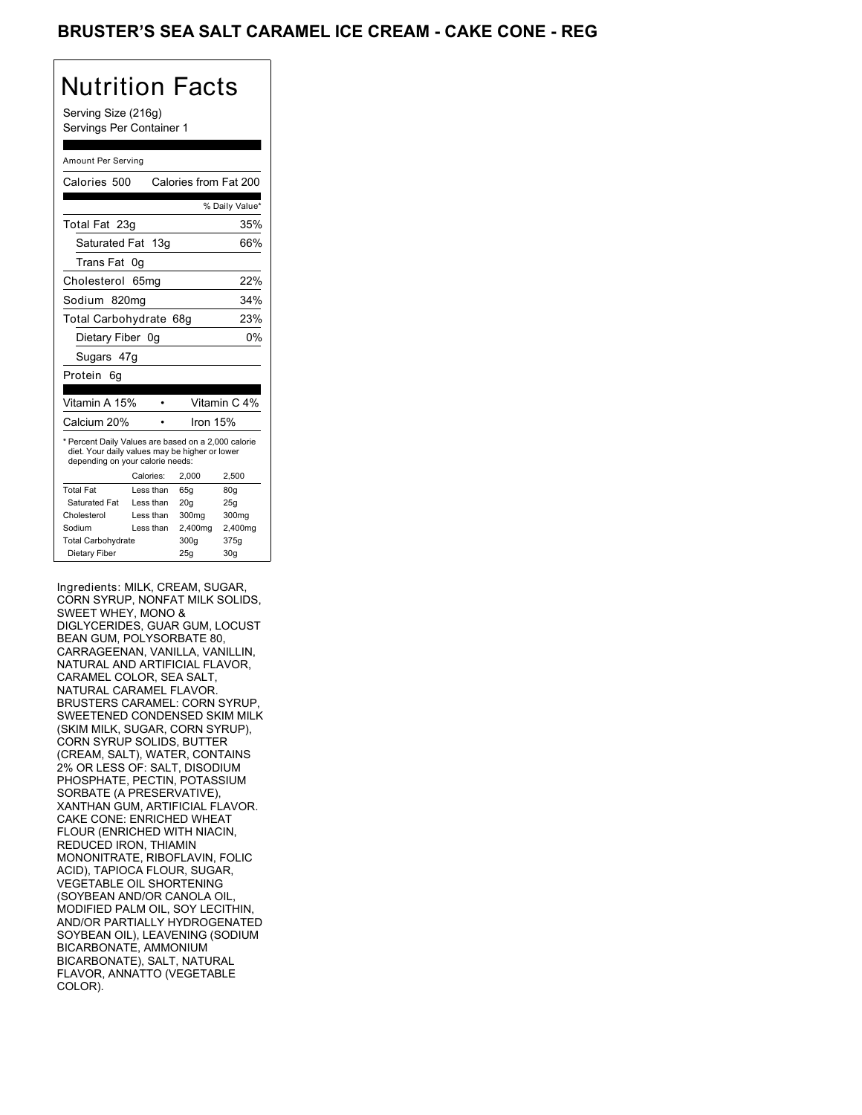## BRUSTER'S SEA SALT CARAMEL ICE CREAM - CAKE CONE - REG

# Nutrition Facts

Serving Size (216g) Servings Per Container 1

#### Amount Per Serving

| Calories 500                                                                                                                              |           |            | Calories from Fat 200 |
|-------------------------------------------------------------------------------------------------------------------------------------------|-----------|------------|-----------------------|
|                                                                                                                                           |           |            | % Daily Value*        |
| Total Fat 23g                                                                                                                             |           |            | 35%                   |
| Saturated Fat 13g                                                                                                                         |           |            | 66%                   |
| Trans Fat                                                                                                                                 | 0g        |            |                       |
| Cholesterol 65mg                                                                                                                          |           |            | 22%                   |
| Sodium 820mg                                                                                                                              |           |            | 34%                   |
| Total Carbohydrate 68g                                                                                                                    |           |            | 23%                   |
| Dietary Fiber 0g                                                                                                                          |           |            | 0%                    |
| Sugars 47g                                                                                                                                |           |            |                       |
| Protein<br>6q                                                                                                                             |           |            |                       |
|                                                                                                                                           |           |            |                       |
| Vitamin A 15%                                                                                                                             |           |            | Vitamin C 4%          |
| Calcium 20%                                                                                                                               |           | Iron $15%$ |                       |
| * Percent Daily Values are based on a 2,000 calorie<br>diet. Your daily values may be higher or lower<br>depending on your calorie needs: |           |            |                       |
|                                                                                                                                           | Calories: | 2.000      | 2,500                 |
| <b>Total Fat</b>                                                                                                                          | Less than | 65q        | 80q                   |
| Saturated Fat                                                                                                                             | Less than | 20q        | 25q                   |
| Cholesterol                                                                                                                               | Less than | 300mg      | 300mg                 |
| Sodium                                                                                                                                    | Less than | 2,400mg    | 2,400mg               |
| <b>Total Carbohydrate</b>                                                                                                                 |           | 300q       | 375g                  |
| Dietary Fiber                                                                                                                             |           | 25q        | 30q                   |

Ingredients: MILK, CREAM, SUGAR, CORN SYRUP, NONFAT MILK SOLIDS, SWEET WHEY, MONO & DIGLYCERIDES, GUAR GUM, LOCUST BEAN GUM, POLYSORBATE 80, CARRAGEENAN, VANILLA, VANILLIN, NATURAL AND ARTIFICIAL FLAVOR, CARAMEL COLOR, SEA SALT, NATURAL CARAMEL FLAVOR. BRUSTERS CARAMEL: CORN SYRUP, SWEETENED CONDENSED SKIM MILK (SKIM MILK, SUGAR, CORN SYRUP), CORN SYRUP SOLIDS, BUTTER (CREAM, SALT), WATER, CONTAINS 2% OR LESS OF: SALT, DISODIUM PHOSPHATE, PECTIN, POTASSIUM SORBATE (A PRESERVATIVE), XANTHAN GUM, ARTIFICIAL FLAVOR. CAKE CONE: ENRICHED WHEAT FLOUR (ENRICHED WITH NIACIN, REDUCED IRON, THIAMIN MONONITRATE, RIBOFLAVIN, FOLIC ACID), TAPIOCA FLOUR, SUGAR, VEGETABLE OIL SHORTENING (SOYBEAN AND/OR CANOLA OIL, MODIFIED PALM OIL, SOY LECITHIN, AND/OR PARTIALLY HYDROGENATED SOYBEAN OIL), LEAVENING (SODIUM BICARBONATE, AMMONIUM BICARBONATE), SALT, NATURAL FLAVOR, ANNATTO (VEGETABLE COLOR).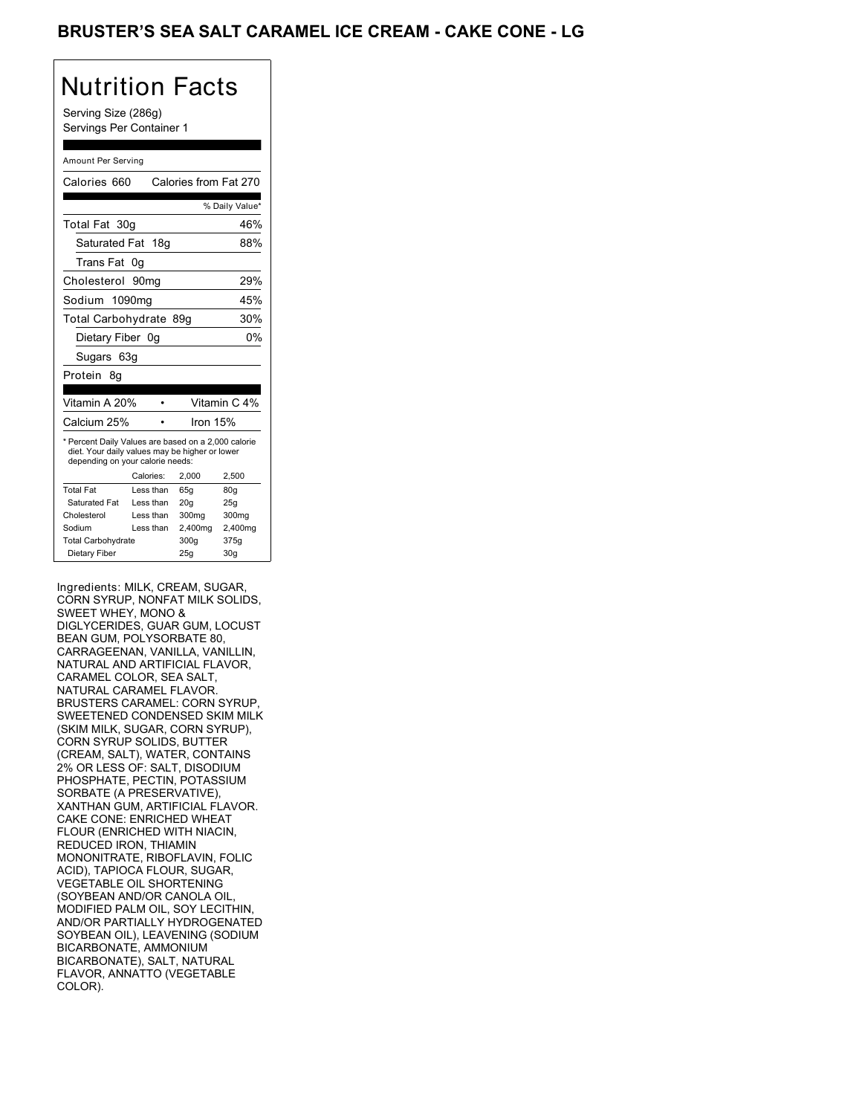## BRUSTER'S SEA SALT CARAMEL ICE CREAM - CAKE CONE - LG

# Nutrition Facts

Serving Size (286g) Servings Per Container 1

#### Amount Per Serving

| Calories 660                                                                                                                              |                  |          | Calories from Fat 270 |
|-------------------------------------------------------------------------------------------------------------------------------------------|------------------|----------|-----------------------|
|                                                                                                                                           |                  |          | % Daily Value*        |
| Total Fat 30g                                                                                                                             |                  |          | 46%                   |
| Saturated Fat 18g                                                                                                                         |                  |          | 88%                   |
| Trans Fat                                                                                                                                 | 0g               |          |                       |
| Cholesterol                                                                                                                               | 90 <sub>mq</sub> |          | 29%                   |
| Sodium 1090mg                                                                                                                             |                  |          | 45%                   |
| Total Carbohydrate 89g                                                                                                                    |                  |          | 30%                   |
| Dietary Fiber 0g                                                                                                                          |                  |          | 0%                    |
| Sugars 63g                                                                                                                                |                  |          |                       |
| Protein<br>8q                                                                                                                             |                  |          |                       |
|                                                                                                                                           |                  |          |                       |
| Vitamin A 20%                                                                                                                             |                  |          | Vitamin C 4%          |
| Calcium 25%                                                                                                                               |                  | Iron 15% |                       |
| * Percent Daily Values are based on a 2,000 calorie<br>diet. Your daily values may be higher or lower<br>depending on your calorie needs: |                  |          |                       |
|                                                                                                                                           | Calories:        | 2.000    | 2,500                 |
| <b>Total Fat</b>                                                                                                                          | Less than        | 65q      | 80q                   |
| Saturated Fat                                                                                                                             | Less than        | 20q      | 25q                   |
| Cholesterol                                                                                                                               | Less than        | 300mg    | 300mg                 |
| Sodium                                                                                                                                    | Less than        | 2,400mg  | 2,400mg               |
| <b>Total Carbohydrate</b>                                                                                                                 |                  | 300g     | 375g                  |
| Dietary Fiber                                                                                                                             |                  | 25q      | 30 <sub>g</sub>       |

Ingredients: MILK, CREAM, SUGAR, CORN SYRUP, NONFAT MILK SOLIDS, SWEET WHEY, MONO & DIGLYCERIDES, GUAR GUM, LOCUST BEAN GUM, POLYSORBATE 80, CARRAGEENAN, VANILLA, VANILLIN, NATURAL AND ARTIFICIAL FLAVOR, CARAMEL COLOR, SEA SALT, NATURAL CARAMEL FLAVOR. BRUSTERS CARAMEL: CORN SYRUP, SWEETENED CONDENSED SKIM MILK (SKIM MILK, SUGAR, CORN SYRUP), CORN SYRUP SOLIDS, BUTTER (CREAM, SALT), WATER, CONTAINS 2% OR LESS OF: SALT, DISODIUM PHOSPHATE, PECTIN, POTASSIUM SORBATE (A PRESERVATIVE), XANTHAN GUM, ARTIFICIAL FLAVOR. CAKE CONE: ENRICHED WHEAT FLOUR (ENRICHED WITH NIACIN, REDUCED IRON, THIAMIN MONONITRATE, RIBOFLAVIN, FOLIC ACID), TAPIOCA FLOUR, SUGAR, VEGETABLE OIL SHORTENING (SOYBEAN AND/OR CANOLA OIL, MODIFIED PALM OIL, SOY LECITHIN, AND/OR PARTIALLY HYDROGENATED SOYBEAN OIL), LEAVENING (SODIUM BICARBONATE, AMMONIUM BICARBONATE), SALT, NATURAL FLAVOR, ANNATTO (VEGETABLE COLOR).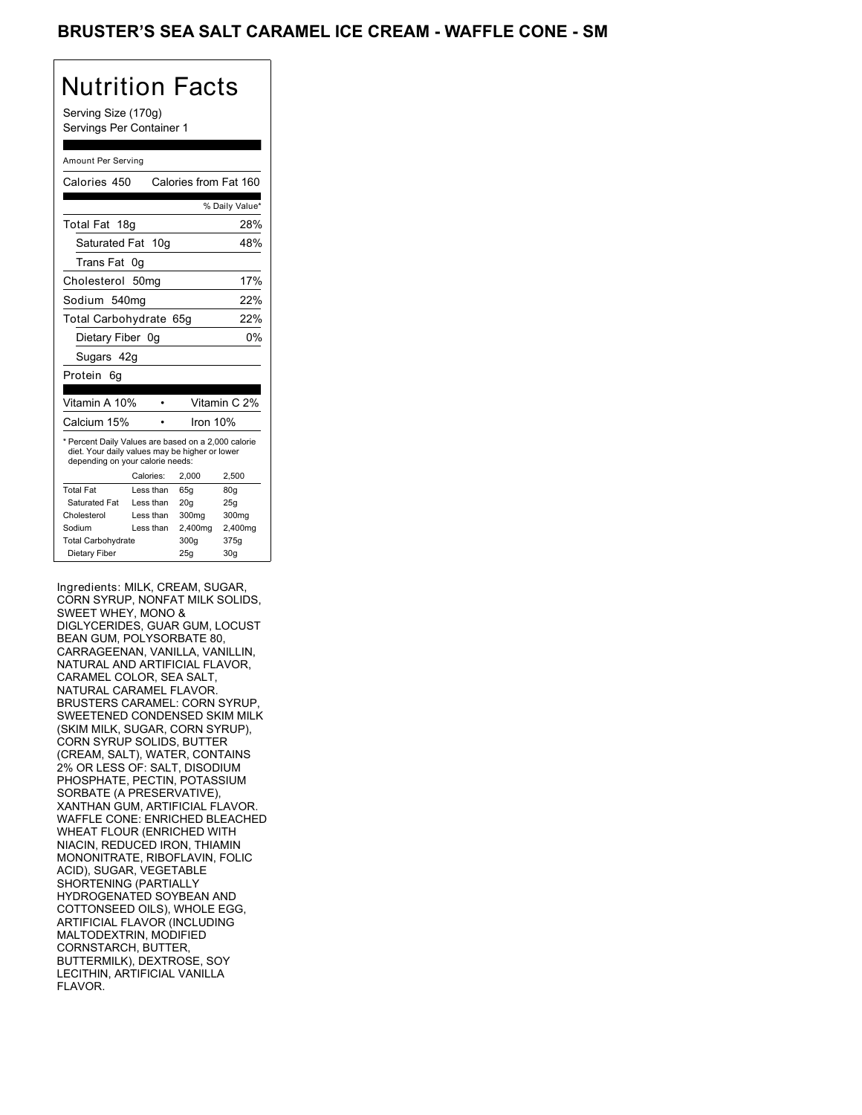## BRUSTER'S SEA SALT CARAMEL ICE CREAM - WAFFLE CONE - SM

# Nutrition Facts

Serving Size (170g) Servings Per Container 1

#### Amount Per Serving

| Calories 450                                                                                                                              |                  | Calories from Fat 160 |                 |
|-------------------------------------------------------------------------------------------------------------------------------------------|------------------|-----------------------|-----------------|
|                                                                                                                                           |                  |                       | % Daily Value*  |
| Total Fat 18g                                                                                                                             |                  |                       | 28%             |
| Saturated Fat 10g                                                                                                                         |                  |                       | 48%             |
| Trans Fat                                                                                                                                 | 0g               |                       |                 |
| Cholesterol                                                                                                                               | 50 <sub>mq</sub> |                       | 17%             |
| Sodium 540mg                                                                                                                              |                  |                       | 22%             |
| Total Carbohydrate 65g                                                                                                                    |                  |                       | 22%             |
| Dietary Fiber 0g                                                                                                                          |                  |                       | 0%              |
| Sugars 42g                                                                                                                                |                  |                       |                 |
| Protein<br>6g                                                                                                                             |                  |                       |                 |
|                                                                                                                                           |                  |                       |                 |
| Vitamin A 10%                                                                                                                             |                  |                       | Vitamin C 2%    |
| Calcium 15%                                                                                                                               |                  | Iron 10%              |                 |
| * Percent Daily Values are based on a 2,000 calorie<br>diet. Your daily values may be higher or lower<br>depending on your calorie needs: |                  |                       |                 |
|                                                                                                                                           | Calories:        | 2.000                 | 2,500           |
| <b>Total Fat</b>                                                                                                                          | Less than        | 65q                   | 80q             |
| Saturated Fat                                                                                                                             | Less than        | 20q                   | 25q             |
| Cholesterol                                                                                                                               | Less than        | 300mg                 | 300mg           |
| Sodium                                                                                                                                    | Less than        | 2,400mg               | 2,400mg         |
| <b>Total Carbohydrate</b>                                                                                                                 |                  | 300q                  | 375g            |
| Dietary Fiber                                                                                                                             |                  | 25q                   | 30 <sub>q</sub> |

Ingredients: MILK, CREAM, SUGAR, CORN SYRUP, NONFAT MILK SOLIDS, SWEET WHEY, MONO & DIGLYCERIDES, GUAR GUM, LOCUST BEAN GUM, POLYSORBATE 80, CARRAGEENAN, VANILLA, VANILLIN, NATURAL AND ARTIFICIAL FLAVOR, CARAMEL COLOR, SEA SALT, NATURAL CARAMEL FLAVOR. BRUSTERS CARAMEL: CORN SYRUP, SWEETENED CONDENSED SKIM MILK (SKIM MILK, SUGAR, CORN SYRUP), CORN SYRUP SOLIDS, BUTTER (CREAM, SALT), WATER, CONTAINS 2% OR LESS OF: SALT, DISODIUM PHOSPHATE, PECTIN, POTASSIUM SORBATE (A PRESERVATIVE), XANTHAN GUM, ARTIFICIAL FLAVOR. WAFFLE CONE: ENRICHED BLEACHED WHEAT FLOUR (ENRICHED WITH NIACIN, REDUCED IRON, THIAMIN MONONITRATE, RIBOFLAVIN, FOLIC ACID), SUGAR, VEGETABLE SHORTENING (PARTIALLY HYDROGENATED SOYBEAN AND COTTONSEED OILS), WHOLE EGG, ARTIFICIAL FLAVOR (INCLUDING MALTODEXTRIN, MODIFIED CORNSTARCH, BUTTER, BUTTERMILK), DEXTROSE, SOY LECITHIN, ARTIFICIAL VANILLA FLAVOR.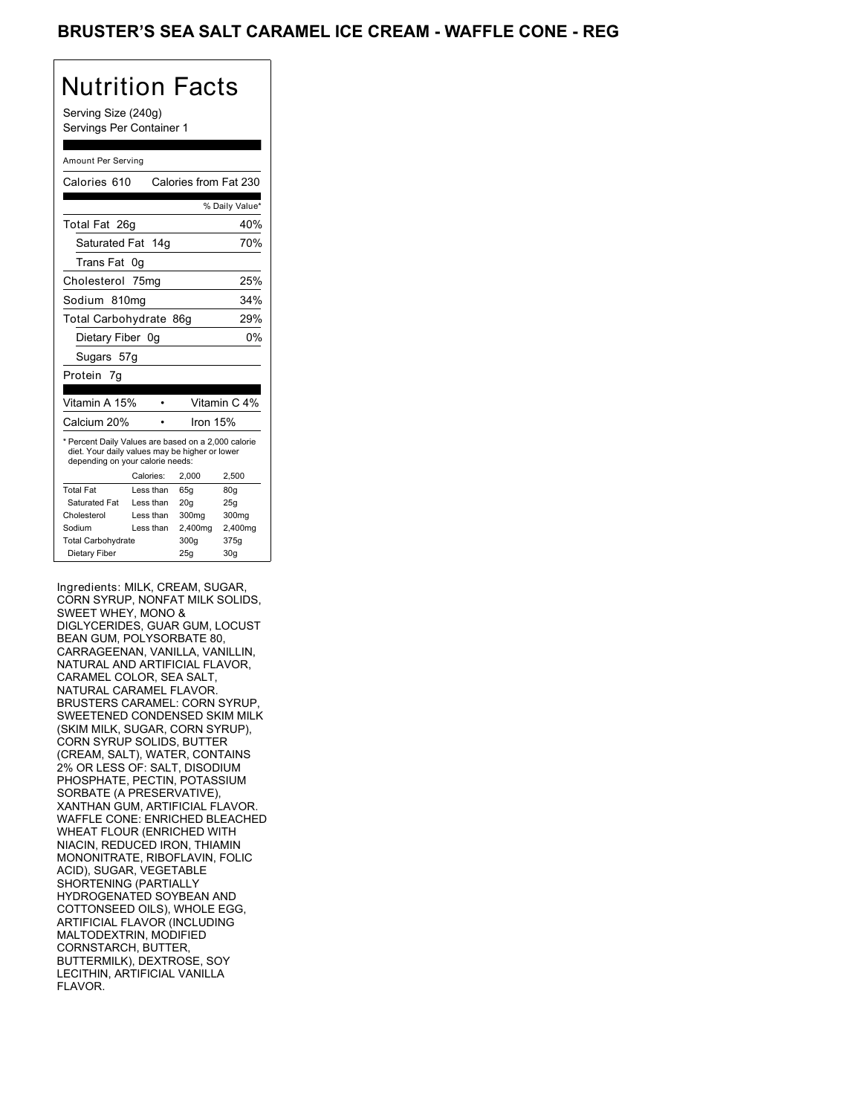## BRUSTER'S SEA SALT CARAMEL ICE CREAM - WAFFLE CONE - REG

# Nutrition Facts

Serving Size (240g) Servings Per Container 1

#### Amount Per Serving

| Calories 610                                                                                                                              |           |         | Calories from Fat 230 |
|-------------------------------------------------------------------------------------------------------------------------------------------|-----------|---------|-----------------------|
|                                                                                                                                           |           |         | % Daily Value*        |
| Total Fat 26g                                                                                                                             |           |         | 40%                   |
| Saturated Fat 14g                                                                                                                         |           |         | 70%                   |
| Trans Fat                                                                                                                                 | 0g        |         |                       |
| Cholesterol 75mg                                                                                                                          |           |         | 25%                   |
| Sodium 810mg                                                                                                                              |           |         | 34%                   |
| Total Carbohydrate 86g                                                                                                                    |           |         | 29%                   |
| Dietary Fiber 0q                                                                                                                          |           |         | 0%                    |
| Sugars 57g                                                                                                                                |           |         |                       |
| Protein 7q                                                                                                                                |           |         |                       |
|                                                                                                                                           |           |         |                       |
| Vitamin A 15%                                                                                                                             |           |         | Vitamin C 4%          |
| Calcium 20%                                                                                                                               |           |         | lron 15%              |
| * Percent Daily Values are based on a 2,000 calorie<br>diet. Your daily values may be higher or lower<br>depending on your calorie needs: |           |         |                       |
|                                                                                                                                           | Calories: | 2.000   | 2,500                 |
| <b>Total Fat</b>                                                                                                                          | Less than | 65q     | 80q                   |
| Saturated Fat                                                                                                                             | Less than | 20q     | 25q                   |
| Cholesterol                                                                                                                               | Less than | 300mg   | 300mg                 |
| Sodium                                                                                                                                    | Less than | 2,400mg | 2,400mg               |
| <b>Total Carbohydrate</b>                                                                                                                 |           | 300g    | 375g                  |
| Dietary Fiber                                                                                                                             |           | 25q     | 30 <sub>g</sub>       |

Ingredients: MILK, CREAM, SUGAR, CORN SYRUP, NONFAT MILK SOLIDS, SWEET WHEY, MONO & DIGLYCERIDES, GUAR GUM, LOCUST BEAN GUM, POLYSORBATE 80, CARRAGEENAN, VANILLA, VANILLIN, NATURAL AND ARTIFICIAL FLAVOR, CARAMEL COLOR, SEA SALT, NATURAL CARAMEL FLAVOR. BRUSTERS CARAMEL: CORN SYRUP, SWEETENED CONDENSED SKIM MILK (SKIM MILK, SUGAR, CORN SYRUP), CORN SYRUP SOLIDS, BUTTER (CREAM, SALT), WATER, CONTAINS 2% OR LESS OF: SALT, DISODIUM PHOSPHATE, PECTIN, POTASSIUM SORBATE (A PRESERVATIVE), XANTHAN GUM, ARTIFICIAL FLAVOR. WAFFLE CONE: ENRICHED BLEACHED WHEAT FLOUR (ENRICHED WITH NIACIN, REDUCED IRON, THIAMIN MONONITRATE, RIBOFLAVIN, FOLIC ACID), SUGAR, VEGETABLE SHORTENING (PARTIALLY HYDROGENATED SOYBEAN AND COTTONSEED OILS), WHOLE EGG, ARTIFICIAL FLAVOR (INCLUDING MALTODEXTRIN, MODIFIED CORNSTARCH, BUTTER, BUTTERMILK), DEXTROSE, SOY LECITHIN, ARTIFICIAL VANILLA FLAVOR.